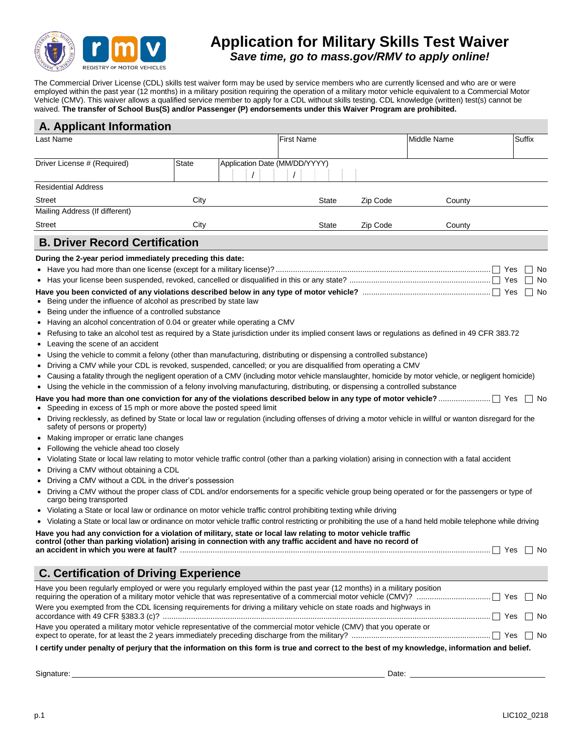

## **Application for Military Skills Test Waiver**  *Save time, go to mass.gov/RMV to apply online!*

The Commercial Driver License (CDL) skills test waiver form may be used by service members who are currently licensed and who are or were employed within the past year (12 months) in a military position requiring the operation of a military motor vehicle equivalent to a Commercial Motor Vehicle (CMV). This waiver allows a qualified service member to apply for a CDL without skills testing. CDL knowledge (written) test(s) cannot be waived. **The transfer of School Bus(S) and/or Passenger (P) endorsements under this Waiver Program are prohibited.**

| <b>A. Applicant Information</b>                                                                                                                                                                                                        |       |                               |                   |       |          |             |           |  |
|----------------------------------------------------------------------------------------------------------------------------------------------------------------------------------------------------------------------------------------|-------|-------------------------------|-------------------|-------|----------|-------------|-----------|--|
| Last Name                                                                                                                                                                                                                              |       |                               | <b>First Name</b> |       |          | Middle Name | Suffix    |  |
|                                                                                                                                                                                                                                        |       |                               |                   |       |          |             |           |  |
| Driver License # (Required)                                                                                                                                                                                                            | State | Application Date (MM/DD/YYYY) |                   |       |          |             |           |  |
|                                                                                                                                                                                                                                        |       |                               |                   |       |          |             |           |  |
| <b>Residential Address</b>                                                                                                                                                                                                             |       |                               |                   |       |          |             |           |  |
| <b>Street</b>                                                                                                                                                                                                                          | City  |                               |                   | State | Zip Code | County      |           |  |
| Mailing Address (If different)                                                                                                                                                                                                         |       |                               |                   |       |          |             |           |  |
| <b>Street</b>                                                                                                                                                                                                                          | City  |                               |                   | State | Zip Code | County      |           |  |
| <b>B. Driver Record Certification</b>                                                                                                                                                                                                  |       |                               |                   |       |          |             |           |  |
| During the 2-year period immediately preceding this date:                                                                                                                                                                              |       |                               |                   |       |          |             |           |  |
|                                                                                                                                                                                                                                        |       |                               |                   |       |          |             | Yes<br>N0 |  |
|                                                                                                                                                                                                                                        |       |                               |                   |       |          |             | Yes<br>No |  |
|                                                                                                                                                                                                                                        |       |                               |                   |       |          |             | Yes<br>No |  |
| Being under the influence of alcohol as prescribed by state law                                                                                                                                                                        |       |                               |                   |       |          |             |           |  |
| Being under the influence of a controlled substance<br>٠                                                                                                                                                                               |       |                               |                   |       |          |             |           |  |
| Having an alcohol concentration of 0.04 or greater while operating a CMV<br>٠                                                                                                                                                          |       |                               |                   |       |          |             |           |  |
| Refusing to take an alcohol test as required by a State jurisdiction under its implied consent laws or regulations as defined in 49 CFR 383.72<br>٠                                                                                    |       |                               |                   |       |          |             |           |  |
| Leaving the scene of an accident<br>٠                                                                                                                                                                                                  |       |                               |                   |       |          |             |           |  |
| Using the vehicle to commit a felony (other than manufacturing, distributing or dispensing a controlled substance)<br>٠<br>Driving a CMV while your CDL is revoked, suspended, cancelled; or you are disqualified from operating a CMV |       |                               |                   |       |          |             |           |  |
| Causing a fatality through the negligent operation of a CMV (including motor vehicle manslaughter, homicide by motor vehicle, or negligent homicide)                                                                                   |       |                               |                   |       |          |             |           |  |
| Using the vehicle in the commission of a felony involving manufacturing, distributing, or dispensing a controlled substance                                                                                                            |       |                               |                   |       |          |             |           |  |
| Speeding in excess of 15 mph or more above the posted speed limit                                                                                                                                                                      |       |                               |                   |       |          |             | ∣ ∣No     |  |
| Driving recklessly, as defined by State or local law or regulation (including offenses of driving a motor vehicle in willful or wanton disregard for the<br>$\bullet$<br>safety of persons or property)                                |       |                               |                   |       |          |             |           |  |
| Making improper or erratic lane changes                                                                                                                                                                                                |       |                               |                   |       |          |             |           |  |
| Following the vehicle ahead too closely<br>٠                                                                                                                                                                                           |       |                               |                   |       |          |             |           |  |
| Violating State or local law relating to motor vehicle traffic control (other than a parking violation) arising in connection with a fatal accident                                                                                    |       |                               |                   |       |          |             |           |  |
| Driving a CMV without obtaining a CDL<br>٠                                                                                                                                                                                             |       |                               |                   |       |          |             |           |  |
| Driving a CMV without a CDL in the driver's possession<br>٠                                                                                                                                                                            |       |                               |                   |       |          |             |           |  |
| Driving a CMV without the proper class of CDL and/or endorsements for a specific vehicle group being operated or for the passengers or type of<br>٠<br>cargo being transported                                                         |       |                               |                   |       |          |             |           |  |
| Violating a State or local law or ordinance on motor vehicle traffic control prohibiting texting while driving                                                                                                                         |       |                               |                   |       |          |             |           |  |
| Violating a State or local law or ordinance on motor vehicle traffic control restricting or prohibiting the use of a hand held mobile telephone while driving                                                                          |       |                               |                   |       |          |             |           |  |
| Have you had any conviction for a violation of military, state or local law relating to motor vehicle traffic<br>control (other than parking violation) arising in connection with any traffic accident and have no record of          |       |                               |                   |       |          |             | ∣ ∣No     |  |
| <b>C. Certification of Driving Experience</b>                                                                                                                                                                                          |       |                               |                   |       |          |             |           |  |
|                                                                                                                                                                                                                                        |       |                               |                   |       |          |             |           |  |
| Have you been regularly employed or were you regularly employed within the past year (12 months) in a military position                                                                                                                |       |                               |                   |       |          |             |           |  |
| Were you exempted from the CDL licensing requirements for driving a military vehicle on state roads and highways in                                                                                                                    |       |                               |                   |       |          |             | ∣ ∣No     |  |
| Have you operated a military motor vehicle representative of the commercial motor vehicle (CMV) that you operate or                                                                                                                    |       |                               |                   |       |          |             |           |  |
| I certify under penalty of perjury that the information on this form is true and correct to the best of my knowledge, information and belief.                                                                                          |       |                               |                   |       |          |             |           |  |

Signature: \_\_\_\_\_\_\_\_\_\_\_\_\_\_\_\_\_\_\_\_\_\_\_\_\_\_\_\_\_\_\_\_\_\_\_\_\_\_\_\_\_\_\_\_\_\_\_\_\_\_\_\_\_\_\_\_\_\_\_\_\_\_\_\_\_\_\_\_\_\_\_\_\_\_ Date: \_\_\_\_\_\_\_\_\_\_\_\_\_\_\_\_\_\_\_\_\_\_\_\_\_\_\_\_\_\_\_\_